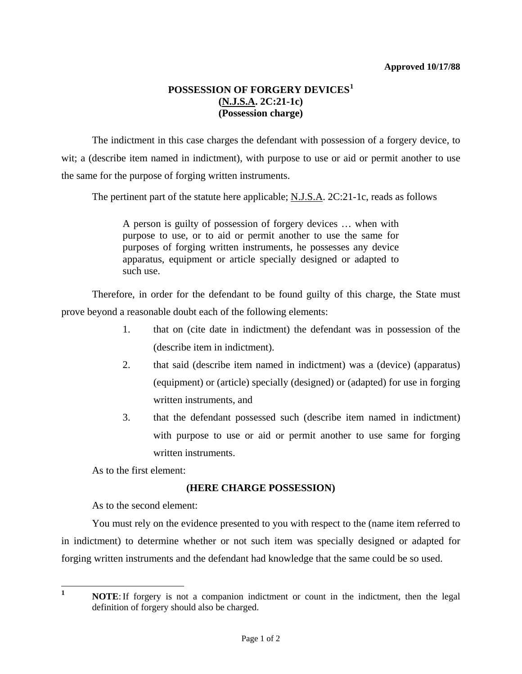## **POSSESSION OF FORGERY DEVICES[1](#page-0-0) (N.J.S.A. 2C:21-1c) (Possession charge)**

 The indictment in this case charges the defendant with possession of a forgery device, to wit; a (describe item named in indictment), with purpose to use or aid or permit another to use the same for the purpose of forging written instruments.

The pertinent part of the statute here applicable; N.J.S.A. 2C:21-1c, reads as follows

A person is guilty of possession of forgery devices … when with purpose to use, or to aid or permit another to use the same for purposes of forging written instruments, he possesses any device apparatus, equipment or article specially designed or adapted to such use.

 Therefore, in order for the defendant to be found guilty of this charge, the State must prove beyond a reasonable doubt each of the following elements:

- 1. that on (cite date in indictment) the defendant was in possession of the (describe item in indictment).
- 2. that said (describe item named in indictment) was a (device) (apparatus) (equipment) or (article) specially (designed) or (adapted) for use in forging written instruments, and
- 3. that the defendant possessed such (describe item named in indictment) with purpose to use or aid or permit another to use same for forging written instruments.

As to the first element:

## **(HERE CHARGE POSSESSION)**

As to the second element:

 You must rely on the evidence presented to you with respect to the (name item referred to in indictment) to determine whether or not such item was specially designed or adapted for forging written instruments and the defendant had knowledge that the same could be so used.

<span id="page-0-0"></span>**1**

**NOTE**: If forgery is not a companion indictment or count in the indictment, then the legal definition of forgery should also be charged.